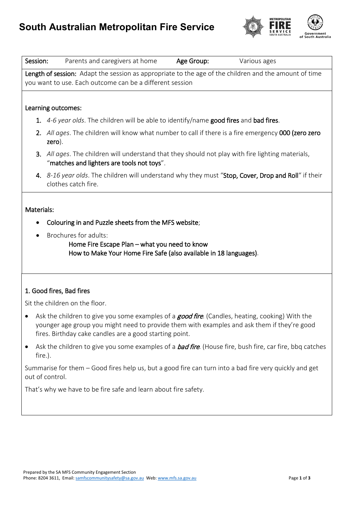

| Session:                       | Age Group:<br>Parents and caregivers at home<br>Various ages                                                                                                                                                                                                      |
|--------------------------------|-------------------------------------------------------------------------------------------------------------------------------------------------------------------------------------------------------------------------------------------------------------------|
|                                | Length of session: Adapt the session as appropriate to the age of the children and the amount of time<br>you want to use. Each outcome can be a different session                                                                                                 |
|                                | Learning outcomes:                                                                                                                                                                                                                                                |
|                                | 1. 4-6 year olds. The children will be able to identify/name good fires and bad fires.                                                                                                                                                                            |
|                                | 2. All ages. The children will know what number to call if there is a fire emergency 000 (zero zero<br>zero).                                                                                                                                                     |
|                                | 3. All ages. The children will understand that they should not play with fire lighting materials,<br>"matches and lighters are tools not toys".                                                                                                                   |
|                                | 4. 8-16 year olds. The children will understand why they must "Stop, Cover, Drop and Roll" if their<br>clothes catch fire.                                                                                                                                        |
| Materials:                     |                                                                                                                                                                                                                                                                   |
|                                | Colouring in and Puzzle sheets from the MFS website;                                                                                                                                                                                                              |
| $\bullet$                      | Brochures for adults:<br>Home Fire Escape Plan - what you need to know<br>How to Make Your Home Fire Safe (also available in 18 languages).                                                                                                                       |
|                                | 1. Good fires, Bad fires                                                                                                                                                                                                                                          |
| Sit the children on the floor. |                                                                                                                                                                                                                                                                   |
|                                | Ask the children to give you some examples of a <b>good fire</b> . (Candles, heating, cooking) With the<br>younger age group you might need to provide them with examples and ask them if they're good<br>fires. Birthday cake candles are a good starting point. |
| fire.).                        | Ask the children to give you some examples of a <b>bad fire</b> . (House fire, bush fire, car fire, bbq catches                                                                                                                                                   |
|                                | Summarise for them – Good fires help us, but a good fire can turn into a bad fire very quickly and get<br>out of control.                                                                                                                                         |
|                                | That's why we have to be fire safe and learn about fire safety.                                                                                                                                                                                                   |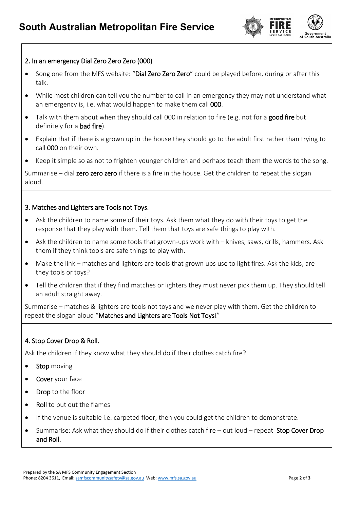

## 2. In an emergency Dial Zero Zero Zero (000)

- Song one from the MFS website: "Dial Zero Zero Zero" could be played before, during or after this talk.
- While most children can tell you the number to call in an emergency they may not understand what an emergency is, i.e. what would happen to make them call 000.
- Talk with them about when they should call 000 in relation to fire (e.g. not for a good fire but definitely for a **bad fire**).
- Explain that if there is a grown up in the house they should go to the adult first rather than trying to call 000 on their own.
- Keep it simple so as not to frighten younger children and perhaps teach them the words to the song.

Summarise – dial zero zero zero if there is a fire in the house. Get the children to repeat the slogan aloud.

## 3. Matches and Lighters are Tools not Toys.

- Ask the children to name some of their toys. Ask them what they do with their toys to get the response that they play with them. Tell them that toys are safe things to play with.
- Ask the children to name some tools that grown-ups work with knives, saws, drills, hammers. Ask them if they think tools are safe things to play with.
- Make the link matches and lighters are tools that grown ups use to light fires. Ask the kids, are they tools or toys?
- Tell the children that if they find matches or lighters they must never pick them up. They should tell an adult straight away.

Summarise – matches & lighters are tools not toys and we never play with them. Get the children to repeat the slogan aloud "Matches and Lighters are Tools Not Toys!"

## 4. Stop Cover Drop & Roll.

Ask the children if they know what they should do if their clothes catch fire?

- Stop moving
- Cover your face
- Drop to the floor
- Roll to put out the flames
- If the venue is suitable i.e. carpeted floor, then you could get the children to demonstrate.
- Summarise: Ask what they should do if their clothes catch fire out loud repeat Stop Cover Drop and Roll.